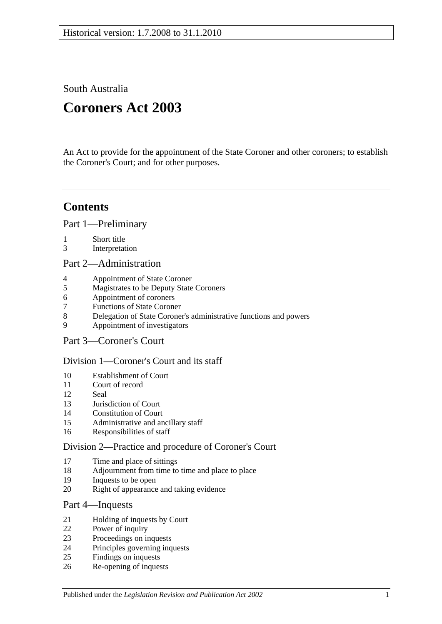South Australia

# **Coroners Act 2003**

An Act to provide for the appointment of the State Coroner and other coroners; to establish the Coroner's Court; and for other purposes.

## **Contents**

[Part 1—Preliminary](#page-1-0)

- [Short title](#page-1-1)
- [Interpretation](#page-1-2)

#### [Part 2—Administration](#page-4-0)

- [Appointment of State Coroner](#page-4-1)
- [Magistrates to be Deputy State Coroners](#page-4-2)
- [Appointment of coroners](#page-4-3)
- [Functions of State Coroner](#page-4-4)
- [Delegation of State Coroner's administrative functions and powers](#page-4-5)
- [Appointment of investigators](#page-5-0)
- [Part 3—Coroner's Court](#page-5-1)

## [Division 1—Coroner's Court and its staff](#page-5-2)

- [Establishment of Court](#page-5-3)
- [Court of record](#page-5-4)<br>12 Seal
- [Seal](#page-5-5)
- [Jurisdiction of Court](#page-5-6)
- [Constitution of Court](#page-5-7)
- [Administrative and ancillary staff](#page-6-0)
- [Responsibilities of staff](#page-6-1)

## [Division 2—Practice and procedure of Coroner's Court](#page-6-2)

- [Time and place of sittings](#page-6-3)
- [Adjournment from time to time and place to place](#page-6-4)
- [Inquests to be open](#page-6-5)
- [Right of appearance and taking evidence](#page-6-6)

## [Part 4—Inquests](#page-7-0)

- [Holding of inquests by Court](#page-7-1)
- [Power of inquiry](#page-7-2)
- [Proceedings on inquests](#page-8-0)
- [Principles governing inquests](#page-10-0)
- [Findings on inquests](#page-10-1)
- [Re-opening of inquests](#page-10-2)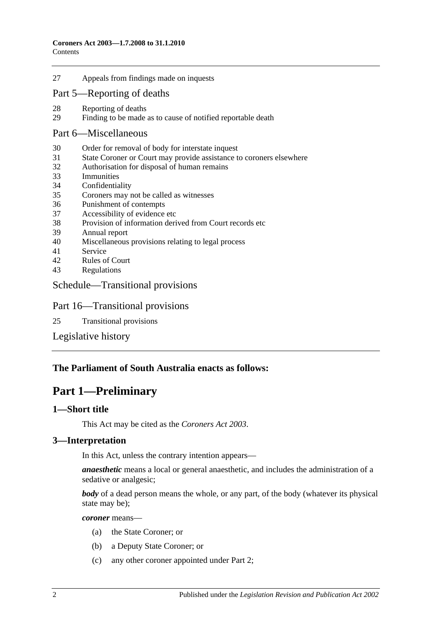27 [Appeals from findings made on inquests](#page-11-0)

#### [Part 5—Reporting of deaths](#page-11-1)

- 28 [Reporting of deaths](#page-11-2)<br>29 Finding to be made
- [Finding to be made as to cause of notified reportable death](#page-12-0)

#### [Part 6—Miscellaneous](#page-12-1)

- 30 [Order for removal of body for interstate inquest](#page-12-2)
- 31 [State Coroner or Court may provide assistance to coroners elsewhere](#page-12-3)
- 32 [Authorisation for disposal of human remains](#page-12-4)
- 33 [Immunities](#page-13-0)
- 34 [Confidentiality](#page-13-1)
- 35 [Coroners may not be called as](#page-13-2) witnesses
- 36 [Punishment of contempts](#page-13-3)
- 37 [Accessibility of evidence etc](#page-14-0)
- 38 [Provision of information derived from Court records etc](#page-14-1)
- 39 [Annual report](#page-14-2)
- 40 [Miscellaneous provisions relating to legal process](#page-15-0)
- 41 [Service](#page-15-1)
- 42 [Rules of Court](#page-15-2)
- 43 [Regulations](#page-15-3)

#### [Schedule—Transitional provisions](#page-15-4)

#### Part 16—Transitional provisions

25 [Transitional provisions](#page-15-5)

[Legislative history](#page-17-0)

#### <span id="page-1-0"></span>**The Parliament of South Australia enacts as follows:**

## **Part 1—Preliminary**

#### <span id="page-1-1"></span>**1—Short title**

This Act may be cited as the *Coroners Act 2003*.

#### <span id="page-1-2"></span>**3—Interpretation**

In this Act, unless the contrary intention appears—

*anaesthetic* means a local or general anaesthetic, and includes the administration of a sedative or analgesic;

*body* of a dead person means the whole, or any part, of the body (whatever its physical state may be);

*coroner* means—

- (a) the State Coroner; or
- (b) a Deputy State Coroner; or
- (c) any other coroner appointed under [Part 2;](#page-4-0)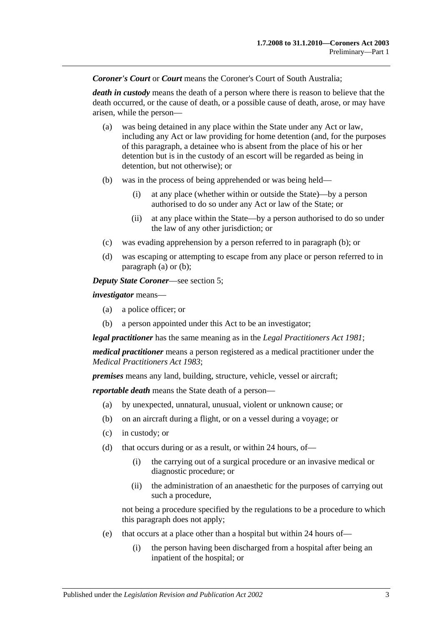*Coroner's Court* or *Court* means the Coroner's Court of South Australia;

*death in custody* means the death of a person where there is reason to believe that the death occurred, or the cause of death, or a possible cause of death, arose, or may have arisen, while the person—

- <span id="page-2-1"></span>(a) was being detained in any place within the State under any Act or law, including any Act or law providing for home detention (and, for the purposes of this paragraph, a detainee who is absent from the place of his or her detention but is in the custody of an escort will be regarded as being in detention, but not otherwise); or
- <span id="page-2-0"></span>(b) was in the process of being apprehended or was being held—
	- (i) at any place (whether within or outside the State)—by a person authorised to do so under any Act or law of the State; or
	- (ii) at any place within the State—by a person authorised to do so under the law of any other jurisdiction; or
- (c) was evading apprehension by a person referred to in [paragraph](#page-2-0) (b); or
- (d) was escaping or attempting to escape from any place or person referred to in [paragraph](#page-2-1) (a) or [\(b\);](#page-2-0)

*Deputy State Coroner*—see [section](#page-4-2) 5;

*investigator* means—

- (a) a police officer; or
- (b) a person appointed under this Act to be an investigator;

*legal practitioner* has the same meaning as in the *[Legal Practitioners Act](http://www.legislation.sa.gov.au/index.aspx?action=legref&type=act&legtitle=Legal%20Practitioners%20Act%201981) 1981*;

*medical practitioner* means a person registered as a medical practitioner under the *[Medical Practitioners Act](http://www.legislation.sa.gov.au/index.aspx?action=legref&type=act&legtitle=Medical%20Practitioners%20Act%201983) 1983*;

*premises* means any land, building, structure, vehicle, vessel or aircraft;

*reportable death* means the State death of a person—

- (a) by unexpected, unnatural, unusual, violent or unknown cause; or
- (b) on an aircraft during a flight, or on a vessel during a voyage; or
- (c) in custody; or
- (d) that occurs during or as a result, or within 24 hours, of—
	- (i) the carrying out of a surgical procedure or an invasive medical or diagnostic procedure; or
	- (ii) the administration of an anaesthetic for the purposes of carrying out such a procedure,

not being a procedure specified by the regulations to be a procedure to which this paragraph does not apply;

- (e) that occurs at a place other than a hospital but within 24 hours of—
	- (i) the person having been discharged from a hospital after being an inpatient of the hospital; or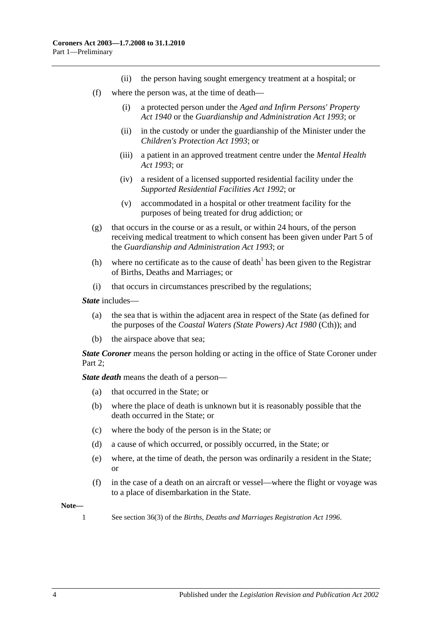- (ii) the person having sought emergency treatment at a hospital; or
- (f) where the person was, at the time of death—
	- (i) a protected person under the *[Aged and Infirm Persons' Property](http://www.legislation.sa.gov.au/index.aspx?action=legref&type=act&legtitle=Aged%20and%20Infirm%20Persons%20Property%20Act%201940)  Act [1940](http://www.legislation.sa.gov.au/index.aspx?action=legref&type=act&legtitle=Aged%20and%20Infirm%20Persons%20Property%20Act%201940)* or the *[Guardianship and Administration Act](http://www.legislation.sa.gov.au/index.aspx?action=legref&type=act&legtitle=Guardianship%20and%20Administration%20Act%201993) 1993*; or
	- (ii) in the custody or under the guardianship of the Minister under the *[Children's Protection Act](http://www.legislation.sa.gov.au/index.aspx?action=legref&type=act&legtitle=Childrens%20Protection%20Act%201993) 1993*; or
	- (iii) a patient in an approved treatment centre under the *[Mental Health](http://www.legislation.sa.gov.au/index.aspx?action=legref&type=act&legtitle=Mental%20Health%20Act%201993)  Act [1993](http://www.legislation.sa.gov.au/index.aspx?action=legref&type=act&legtitle=Mental%20Health%20Act%201993)*; or
	- (iv) a resident of a licensed supported residential facility under the *[Supported Residential Facilities Act](http://www.legislation.sa.gov.au/index.aspx?action=legref&type=act&legtitle=Supported%20Residential%20Facilities%20Act%201992) 1992*; or
	- (v) accommodated in a hospital or other treatment facility for the purposes of being treated for drug addiction; or
- (g) that occurs in the course or as a result, or within 24 hours, of the person receiving medical treatment to which consent has been given under Part 5 of the *[Guardianship and Administration Act](http://www.legislation.sa.gov.au/index.aspx?action=legref&type=act&legtitle=Guardianship%20and%20Administration%20Act%201993) 1993*; or
- (h) where no certificate as to the cause of death<sup>1</sup> has been given to the Registrar of Births, Deaths and Marriages; or
- (i) that occurs in circumstances prescribed by the regulations;

*State* includes—

- (a) the sea that is within the adjacent area in respect of the State (as defined for the purposes of the *Coastal Waters (State Powers) Act 1980* (Cth)); and
- (b) the airspace above that sea;

*State Coroner* means the person holding or acting in the office of State Coroner under Part 2:

*State death* means the death of a person—

- (a) that occurred in the State; or
- (b) where the place of death is unknown but it is reasonably possible that the death occurred in the State; or
- (c) where the body of the person is in the State; or
- (d) a cause of which occurred, or possibly occurred, in the State; or
- (e) where, at the time of death, the person was ordinarily a resident in the State; or
- (f) in the case of a death on an aircraft or vessel—where the flight or voyage was to a place of disembarkation in the State.

**Note—**

1 See section 36(3) of the *[Births, Deaths and Marriages Registration Act](http://www.legislation.sa.gov.au/index.aspx?action=legref&type=act&legtitle=Births%20Deaths%20and%20Marriages%20Registration%20Act%201996) 1996*.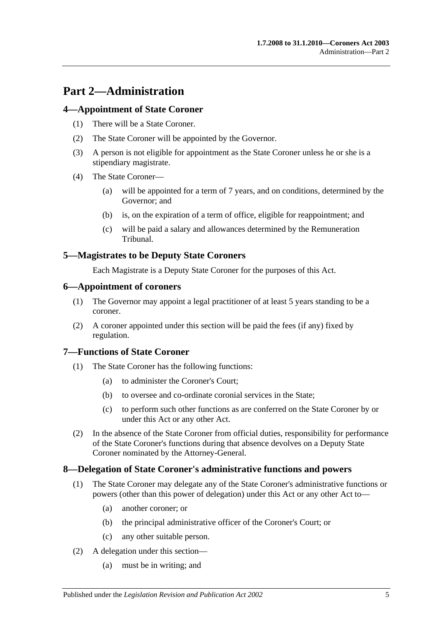## <span id="page-4-0"></span>**Part 2—Administration**

## <span id="page-4-1"></span>**4—Appointment of State Coroner**

- (1) There will be a State Coroner.
- (2) The State Coroner will be appointed by the Governor.
- (3) A person is not eligible for appointment as the State Coroner unless he or she is a stipendiary magistrate.
- (4) The State Coroner—
	- (a) will be appointed for a term of 7 years, and on conditions, determined by the Governor; and
	- (b) is, on the expiration of a term of office, eligible for reappointment; and
	- (c) will be paid a salary and allowances determined by the Remuneration Tribunal.

## <span id="page-4-2"></span>**5—Magistrates to be Deputy State Coroners**

Each Magistrate is a Deputy State Coroner for the purposes of this Act.

## <span id="page-4-3"></span>**6—Appointment of coroners**

- (1) The Governor may appoint a legal practitioner of at least 5 years standing to be a coroner.
- (2) A coroner appointed under this section will be paid the fees (if any) fixed by regulation.

## <span id="page-4-4"></span>**7—Functions of State Coroner**

- (1) The State Coroner has the following functions:
	- (a) to administer the Coroner's Court;
	- (b) to oversee and co-ordinate coronial services in the State;
	- (c) to perform such other functions as are conferred on the State Coroner by or under this Act or any other Act.
- (2) In the absence of the State Coroner from official duties, responsibility for performance of the State Coroner's functions during that absence devolves on a Deputy State Coroner nominated by the Attorney-General.

## <span id="page-4-5"></span>**8—Delegation of State Coroner's administrative functions and powers**

- (1) The State Coroner may delegate any of the State Coroner's administrative functions or powers (other than this power of delegation) under this Act or any other Act to—
	- (a) another coroner; or
	- (b) the principal administrative officer of the Coroner's Court; or
	- (c) any other suitable person.
- (2) A delegation under this section—
	- (a) must be in writing; and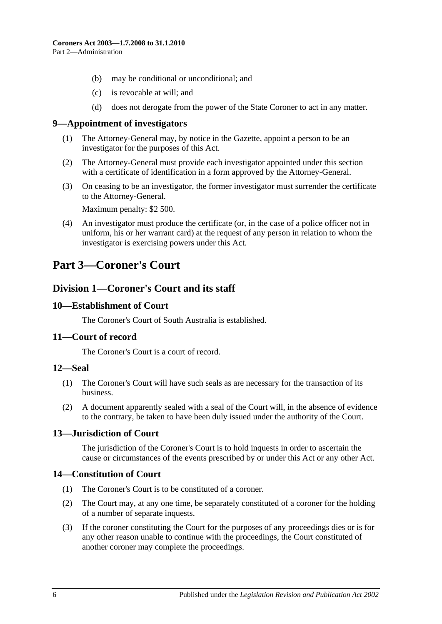- (b) may be conditional or unconditional; and
- (c) is revocable at will; and
- (d) does not derogate from the power of the State Coroner to act in any matter.

#### <span id="page-5-0"></span>**9—Appointment of investigators**

- (1) The Attorney-General may, by notice in the Gazette, appoint a person to be an investigator for the purposes of this Act.
- (2) The Attorney-General must provide each investigator appointed under this section with a certificate of identification in a form approved by the Attorney-General.
- (3) On ceasing to be an investigator, the former investigator must surrender the certificate to the Attorney-General.

Maximum penalty: \$2 500.

(4) An investigator must produce the certificate (or, in the case of a police officer not in uniform, his or her warrant card) at the request of any person in relation to whom the investigator is exercising powers under this Act.

## <span id="page-5-2"></span><span id="page-5-1"></span>**Part 3—Coroner's Court**

## **Division 1—Coroner's Court and its staff**

#### <span id="page-5-3"></span>**10—Establishment of Court**

The Coroner's Court of South Australia is established.

#### <span id="page-5-4"></span>**11—Court of record**

The Coroner's Court is a court of record.

#### <span id="page-5-5"></span>**12—Seal**

- (1) The Coroner's Court will have such seals as are necessary for the transaction of its business.
- (2) A document apparently sealed with a seal of the Court will, in the absence of evidence to the contrary, be taken to have been duly issued under the authority of the Court.

## <span id="page-5-6"></span>**13—Jurisdiction of Court**

The jurisdiction of the Coroner's Court is to hold inquests in order to ascertain the cause or circumstances of the events prescribed by or under this Act or any other Act.

## <span id="page-5-7"></span>**14—Constitution of Court**

- (1) The Coroner's Court is to be constituted of a coroner.
- (2) The Court may, at any one time, be separately constituted of a coroner for the holding of a number of separate inquests.
- (3) If the coroner constituting the Court for the purposes of any proceedings dies or is for any other reason unable to continue with the proceedings, the Court constituted of another coroner may complete the proceedings.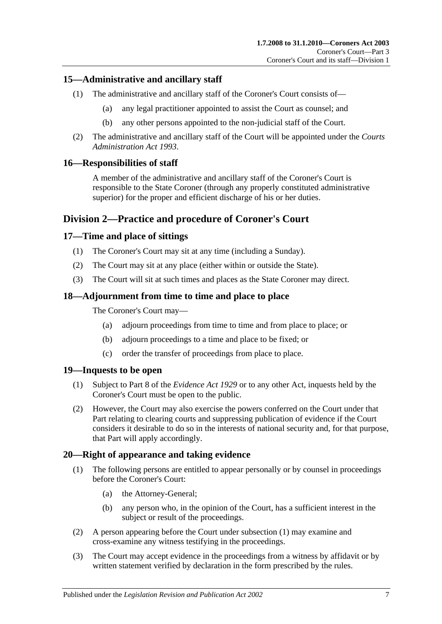## <span id="page-6-0"></span>**15—Administrative and ancillary staff**

- (1) The administrative and ancillary staff of the Coroner's Court consists of—
	- (a) any legal practitioner appointed to assist the Court as counsel; and
	- (b) any other persons appointed to the non-judicial staff of the Court.
- (2) The administrative and ancillary staff of the Court will be appointed under the *[Courts](http://www.legislation.sa.gov.au/index.aspx?action=legref&type=act&legtitle=Courts%20Administration%20Act%201993)  [Administration Act](http://www.legislation.sa.gov.au/index.aspx?action=legref&type=act&legtitle=Courts%20Administration%20Act%201993) 1993*.

## <span id="page-6-1"></span>**16—Responsibilities of staff**

A member of the administrative and ancillary staff of the Coroner's Court is responsible to the State Coroner (through any properly constituted administrative superior) for the proper and efficient discharge of his or her duties.

## <span id="page-6-2"></span>**Division 2—Practice and procedure of Coroner's Court**

## <span id="page-6-3"></span>**17—Time and place of sittings**

- (1) The Coroner's Court may sit at any time (including a Sunday).
- (2) The Court may sit at any place (either within or outside the State).
- (3) The Court will sit at such times and places as the State Coroner may direct.

## <span id="page-6-4"></span>**18—Adjournment from time to time and place to place**

The Coroner's Court may—

- (a) adjourn proceedings from time to time and from place to place; or
- (b) adjourn proceedings to a time and place to be fixed; or
- (c) order the transfer of proceedings from place to place.

## <span id="page-6-5"></span>**19—Inquests to be open**

- (1) Subject to Part 8 of the *[Evidence Act](http://www.legislation.sa.gov.au/index.aspx?action=legref&type=act&legtitle=Evidence%20Act%201929) 1929* or to any other Act, inquests held by the Coroner's Court must be open to the public.
- (2) However, the Court may also exercise the powers conferred on the Court under that Part relating to clearing courts and suppressing publication of evidence if the Court considers it desirable to do so in the interests of national security and, for that purpose, that Part will apply accordingly.

## <span id="page-6-7"></span><span id="page-6-6"></span>**20—Right of appearance and taking evidence**

- (1) The following persons are entitled to appear personally or by counsel in proceedings before the Coroner's Court:
	- (a) the Attorney-General;
	- (b) any person who, in the opinion of the Court, has a sufficient interest in the subject or result of the proceedings.
- (2) A person appearing before the Court under [subsection](#page-6-7) (1) may examine and cross-examine any witness testifying in the proceedings.
- (3) The Court may accept evidence in the proceedings from a witness by affidavit or by written statement verified by declaration in the form prescribed by the rules.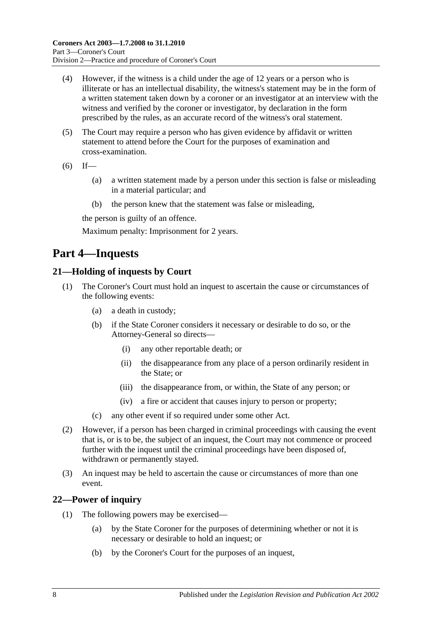- (4) However, if the witness is a child under the age of 12 years or a person who is illiterate or has an intellectual disability, the witness's statement may be in the form of a written statement taken down by a coroner or an investigator at an interview with the witness and verified by the coroner or investigator, by declaration in the form prescribed by the rules, as an accurate record of the witness's oral statement.
- (5) The Court may require a person who has given evidence by affidavit or written statement to attend before the Court for the purposes of examination and cross-examination.
- $(6)$  If—
	- (a) a written statement made by a person under this section is false or misleading in a material particular; and
	- (b) the person knew that the statement was false or misleading,

the person is guilty of an offence.

Maximum penalty: Imprisonment for 2 years.

## <span id="page-7-0"></span>**Part 4—Inquests**

## <span id="page-7-1"></span>**21—Holding of inquests by Court**

- (1) The Coroner's Court must hold an inquest to ascertain the cause or circumstances of the following events:
	- (a) a death in custody;
	- (b) if the State Coroner considers it necessary or desirable to do so, or the Attorney-General so directs—
		- (i) any other reportable death; or
		- (ii) the disappearance from any place of a person ordinarily resident in the State; or
		- (iii) the disappearance from, or within, the State of any person; or
		- (iv) a fire or accident that causes injury to person or property;
	- (c) any other event if so required under some other Act.
- (2) However, if a person has been charged in criminal proceedings with causing the event that is, or is to be, the subject of an inquest, the Court may not commence or proceed further with the inquest until the criminal proceedings have been disposed of, withdrawn or permanently stayed.
- (3) An inquest may be held to ascertain the cause or circumstances of more than one event.

## <span id="page-7-2"></span>**22—Power of inquiry**

- (1) The following powers may be exercised—
	- (a) by the State Coroner for the purposes of determining whether or not it is necessary or desirable to hold an inquest; or
	- (b) by the Coroner's Court for the purposes of an inquest,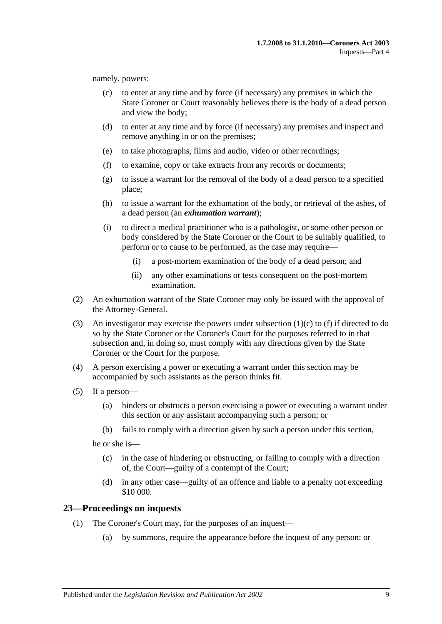<span id="page-8-1"></span>namely, powers:

- (c) to enter at any time and by force (if necessary) any premises in which the State Coroner or Court reasonably believes there is the body of a dead person and view the body;
- (d) to enter at any time and by force (if necessary) any premises and inspect and remove anything in or on the premises;
- (e) to take photographs, films and audio, video or other recordings;
- <span id="page-8-2"></span>(f) to examine, copy or take extracts from any records or documents;
- (g) to issue a warrant for the removal of the body of a dead person to a specified place;
- (h) to issue a warrant for the exhumation of the body, or retrieval of the ashes, of a dead person (an *exhumation warrant*);
- (i) to direct a medical practitioner who is a pathologist, or some other person or body considered by the State Coroner or the Court to be suitably qualified, to perform or to cause to be performed, as the case may require—
	- (i) a post-mortem examination of the body of a dead person; and
	- (ii) any other examinations or tests consequent on the post-mortem examination.
- (2) An exhumation warrant of the State Coroner may only be issued with the approval of the Attorney-General.
- (3) An investigator may exercise the powers under [subsection](#page-8-1) (1)(c) to [\(f\)](#page-8-2) if directed to do so by the State Coroner or the Coroner's Court for the purposes referred to in that subsection and, in doing so, must comply with any directions given by the State Coroner or the Court for the purpose.
- (4) A person exercising a power or executing a warrant under this section may be accompanied by such assistants as the person thinks fit.
- (5) If a person—
	- (a) hinders or obstructs a person exercising a power or executing a warrant under this section or any assistant accompanying such a person; or
	- (b) fails to comply with a direction given by such a person under this section,

he or she is—

- (c) in the case of hindering or obstructing, or failing to comply with a direction of, the Court—guilty of a contempt of the Court;
- (d) in any other case—guilty of an offence and liable to a penalty not exceeding \$10 000.

#### <span id="page-8-0"></span>**23—Proceedings on inquests**

- (1) The Coroner's Court may, for the purposes of an inquest—
	- (a) by summons, require the appearance before the inquest of any person; or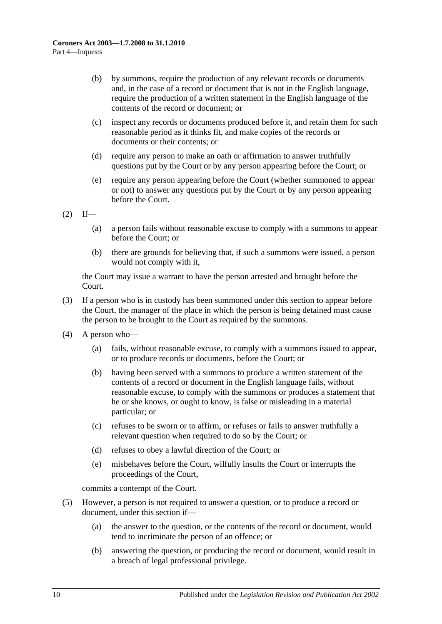- (b) by summons, require the production of any relevant records or documents and, in the case of a record or document that is not in the English language, require the production of a written statement in the English language of the contents of the record or document; or
- (c) inspect any records or documents produced before it, and retain them for such reasonable period as it thinks fit, and make copies of the records or documents or their contents; or
- (d) require any person to make an oath or affirmation to answer truthfully questions put by the Court or by any person appearing before the Court; or
- (e) require any person appearing before the Court (whether summoned to appear or not) to answer any questions put by the Court or by any person appearing before the Court.

 $(2)$  If—

- (a) a person fails without reasonable excuse to comply with a summons to appear before the Court; or
- (b) there are grounds for believing that, if such a summons were issued, a person would not comply with it,

the Court may issue a warrant to have the person arrested and brought before the Court.

- (3) If a person who is in custody has been summoned under this section to appear before the Court, the manager of the place in which the person is being detained must cause the person to be brought to the Court as required by the summons.
- (4) A person who—
	- (a) fails, without reasonable excuse, to comply with a summons issued to appear, or to produce records or documents, before the Court; or
	- (b) having been served with a summons to produce a written statement of the contents of a record or document in the English language fails, without reasonable excuse, to comply with the summons or produces a statement that he or she knows, or ought to know, is false or misleading in a material particular; or
	- (c) refuses to be sworn or to affirm, or refuses or fails to answer truthfully a relevant question when required to do so by the Court; or
	- (d) refuses to obey a lawful direction of the Court; or
	- (e) misbehaves before the Court, wilfully insults the Court or interrupts the proceedings of the Court,

commits a contempt of the Court.

- (5) However, a person is not required to answer a question, or to produce a record or document, under this section if—
	- (a) the answer to the question, or the contents of the record or document, would tend to incriminate the person of an offence; or
	- (b) answering the question, or producing the record or document, would result in a breach of legal professional privilege.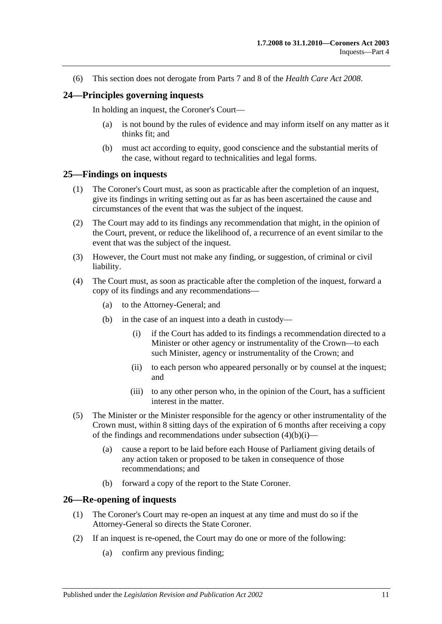(6) This section does not derogate from Parts 7 and 8 of the *[Health Care Act](http://www.legislation.sa.gov.au/index.aspx?action=legref&type=act&legtitle=Health%20Care%20Act%202008) 2008*.

#### <span id="page-10-0"></span>**24—Principles governing inquests**

In holding an inquest, the Coroner's Court—

- (a) is not bound by the rules of evidence and may inform itself on any matter as it thinks fit; and
- (b) must act according to equity, good conscience and the substantial merits of the case, without regard to technicalities and legal forms.

#### <span id="page-10-1"></span>**25—Findings on inquests**

- (1) The Coroner's Court must, as soon as practicable after the completion of an inquest, give its findings in writing setting out as far as has been ascertained the cause and circumstances of the event that was the subject of the inquest.
- (2) The Court may add to its findings any recommendation that might, in the opinion of the Court, prevent, or reduce the likelihood of, a recurrence of an event similar to the event that was the subject of the inquest.
- (3) However, the Court must not make any finding, or suggestion, of criminal or civil liability.
- <span id="page-10-3"></span>(4) The Court must, as soon as practicable after the completion of the inquest, forward a copy of its findings and any recommendations—
	- (a) to the Attorney-General; and
	- (b) in the case of an inquest into a death in custody—
		- (i) if the Court has added to its findings a recommendation directed to a Minister or other agency or instrumentality of the Crown—to each such Minister, agency or instrumentality of the Crown; and
		- (ii) to each person who appeared personally or by counsel at the inquest; and
		- (iii) to any other person who, in the opinion of the Court, has a sufficient interest in the matter.
- (5) The Minister or the Minister responsible for the agency or other instrumentality of the Crown must, within 8 sitting days of the expiration of 6 months after receiving a copy of the findings and recommendations under [subsection](#page-10-3)  $(4)(b)(i)$ —
	- (a) cause a report to be laid before each House of Parliament giving details of any action taken or proposed to be taken in consequence of those recommendations; and
	- (b) forward a copy of the report to the State Coroner.

#### <span id="page-10-2"></span>**26—Re-opening of inquests**

- (1) The Coroner's Court may re-open an inquest at any time and must do so if the Attorney-General so directs the State Coroner.
- (2) If an inquest is re-opened, the Court may do one or more of the following:
	- (a) confirm any previous finding;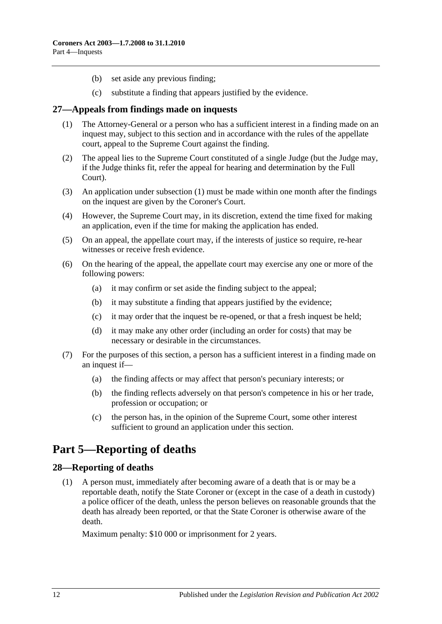- (b) set aside any previous finding;
- (c) substitute a finding that appears justified by the evidence.

## <span id="page-11-3"></span><span id="page-11-0"></span>**27—Appeals from findings made on inquests**

- (1) The Attorney-General or a person who has a sufficient interest in a finding made on an inquest may, subject to this section and in accordance with the rules of the appellate court, appeal to the Supreme Court against the finding.
- (2) The appeal lies to the Supreme Court constituted of a single Judge (but the Judge may, if the Judge thinks fit, refer the appeal for hearing and determination by the Full Court).
- (3) An application under [subsection](#page-11-3) (1) must be made within one month after the findings on the inquest are given by the Coroner's Court.
- (4) However, the Supreme Court may, in its discretion, extend the time fixed for making an application, even if the time for making the application has ended.
- (5) On an appeal, the appellate court may, if the interests of justice so require, re-hear witnesses or receive fresh evidence.
- (6) On the hearing of the appeal, the appellate court may exercise any one or more of the following powers:
	- (a) it may confirm or set aside the finding subject to the appeal;
	- (b) it may substitute a finding that appears justified by the evidence;
	- (c) it may order that the inquest be re-opened, or that a fresh inquest be held;
	- (d) it may make any other order (including an order for costs) that may be necessary or desirable in the circumstances.
- (7) For the purposes of this section, a person has a sufficient interest in a finding made on an inquest if—
	- (a) the finding affects or may affect that person's pecuniary interests; or
	- (b) the finding reflects adversely on that person's competence in his or her trade, profession or occupation; or
	- (c) the person has, in the opinion of the Supreme Court, some other interest sufficient to ground an application under this section.

## <span id="page-11-1"></span>**Part 5—Reporting of deaths**

## <span id="page-11-2"></span>**28—Reporting of deaths**

(1) A person must, immediately after becoming aware of a death that is or may be a reportable death, notify the State Coroner or (except in the case of a death in custody) a police officer of the death, unless the person believes on reasonable grounds that the death has already been reported, or that the State Coroner is otherwise aware of the death.

Maximum penalty: \$10 000 or imprisonment for 2 years.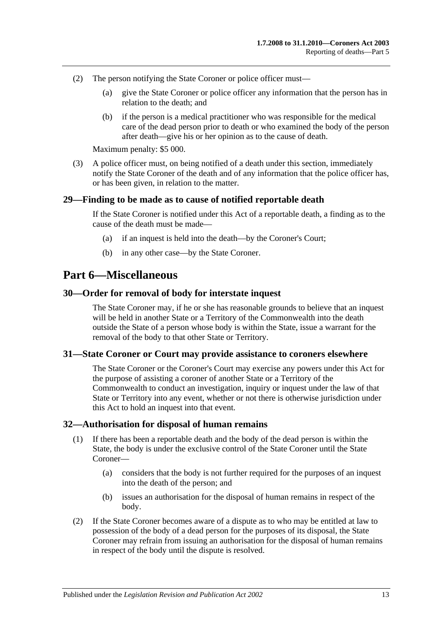- (2) The person notifying the State Coroner or police officer must—
	- (a) give the State Coroner or police officer any information that the person has in relation to the death; and
	- (b) if the person is a medical practitioner who was responsible for the medical care of the dead person prior to death or who examined the body of the person after death—give his or her opinion as to the cause of death.

Maximum penalty: \$5 000.

(3) A police officer must, on being notified of a death under this section, immediately notify the State Coroner of the death and of any information that the police officer has, or has been given, in relation to the matter.

#### <span id="page-12-0"></span>**29—Finding to be made as to cause of notified reportable death**

If the State Coroner is notified under this Act of a reportable death, a finding as to the cause of the death must be made—

- (a) if an inquest is held into the death—by the Coroner's Court;
- (b) in any other case—by the State Coroner.

## <span id="page-12-1"></span>**Part 6—Miscellaneous**

#### <span id="page-12-2"></span>**30—Order for removal of body for interstate inquest**

The State Coroner may, if he or she has reasonable grounds to believe that an inquest will be held in another State or a Territory of the Commonwealth into the death outside the State of a person whose body is within the State, issue a warrant for the removal of the body to that other State or Territory.

#### <span id="page-12-3"></span>**31—State Coroner or Court may provide assistance to coroners elsewhere**

The State Coroner or the Coroner's Court may exercise any powers under this Act for the purpose of assisting a coroner of another State or a Territory of the Commonwealth to conduct an investigation, inquiry or inquest under the law of that State or Territory into any event, whether or not there is otherwise jurisdiction under this Act to hold an inquest into that event.

#### <span id="page-12-4"></span>**32—Authorisation for disposal of human remains**

- (1) If there has been a reportable death and the body of the dead person is within the State, the body is under the exclusive control of the State Coroner until the State Coroner—
	- (a) considers that the body is not further required for the purposes of an inquest into the death of the person; and
	- (b) issues an authorisation for the disposal of human remains in respect of the body.
- (2) If the State Coroner becomes aware of a dispute as to who may be entitled at law to possession of the body of a dead person for the purposes of its disposal, the State Coroner may refrain from issuing an authorisation for the disposal of human remains in respect of the body until the dispute is resolved.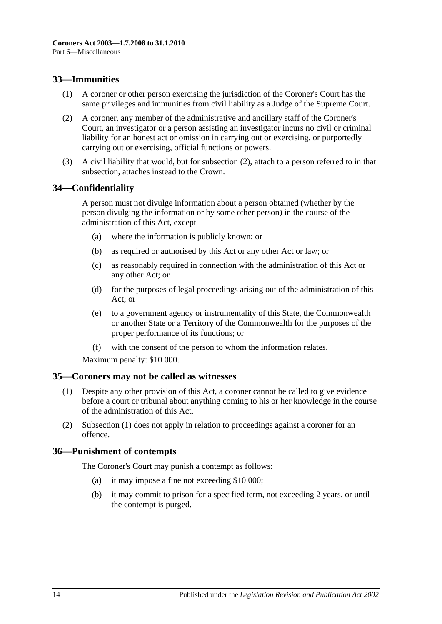## <span id="page-13-0"></span>**33—Immunities**

- (1) A coroner or other person exercising the jurisdiction of the Coroner's Court has the same privileges and immunities from civil liability as a Judge of the Supreme Court.
- <span id="page-13-4"></span>(2) A coroner, any member of the administrative and ancillary staff of the Coroner's Court, an investigator or a person assisting an investigator incurs no civil or criminal liability for an honest act or omission in carrying out or exercising, or purportedly carrying out or exercising, official functions or powers.
- (3) A civil liability that would, but for [subsection](#page-13-4) (2), attach to a person referred to in that subsection, attaches instead to the Crown.

## <span id="page-13-1"></span>**34—Confidentiality**

A person must not divulge information about a person obtained (whether by the person divulging the information or by some other person) in the course of the administration of this Act, except—

- (a) where the information is publicly known; or
- (b) as required or authorised by this Act or any other Act or law; or
- (c) as reasonably required in connection with the administration of this Act or any other Act; or
- (d) for the purposes of legal proceedings arising out of the administration of this Act; or
- (e) to a government agency or instrumentality of this State, the Commonwealth or another State or a Territory of the Commonwealth for the purposes of the proper performance of its functions; or
- (f) with the consent of the person to whom the information relates.

Maximum penalty: \$10 000.

#### <span id="page-13-5"></span><span id="page-13-2"></span>**35—Coroners may not be called as witnesses**

- (1) Despite any other provision of this Act, a coroner cannot be called to give evidence before a court or tribunal about anything coming to his or her knowledge in the course of the administration of this Act.
- (2) [Subsection](#page-13-5) (1) does not apply in relation to proceedings against a coroner for an offence.

## <span id="page-13-3"></span>**36—Punishment of contempts**

The Coroner's Court may punish a contempt as follows:

- (a) it may impose a fine not exceeding \$10 000;
- (b) it may commit to prison for a specified term, not exceeding 2 years, or until the contempt is purged.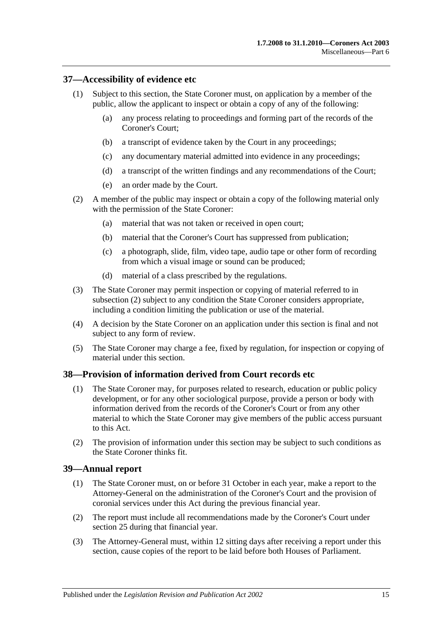## <span id="page-14-0"></span>**37—Accessibility of evidence etc**

- (1) Subject to this section, the State Coroner must, on application by a member of the public, allow the applicant to inspect or obtain a copy of any of the following:
	- (a) any process relating to proceedings and forming part of the records of the Coroner's Court;
	- (b) a transcript of evidence taken by the Court in any proceedings;
	- (c) any documentary material admitted into evidence in any proceedings;
	- (d) a transcript of the written findings and any recommendations of the Court;
	- (e) an order made by the Court.
- <span id="page-14-3"></span>(2) A member of the public may inspect or obtain a copy of the following material only with the permission of the State Coroner:
	- (a) material that was not taken or received in open court;
	- (b) material that the Coroner's Court has suppressed from publication;
	- (c) a photograph, slide, film, video tape, audio tape or other form of recording from which a visual image or sound can be produced;
	- (d) material of a class prescribed by the regulations.
- (3) The State Coroner may permit inspection or copying of material referred to in [subsection](#page-14-3) (2) subject to any condition the State Coroner considers appropriate, including a condition limiting the publication or use of the material.
- (4) A decision by the State Coroner on an application under this section is final and not subject to any form of review.
- (5) The State Coroner may charge a fee, fixed by regulation, for inspection or copying of material under this section.

#### <span id="page-14-1"></span>**38—Provision of information derived from Court records etc**

- (1) The State Coroner may, for purposes related to research, education or public policy development, or for any other sociological purpose, provide a person or body with information derived from the records of the Coroner's Court or from any other material to which the State Coroner may give members of the public access pursuant to this Act.
- (2) The provision of information under this section may be subject to such conditions as the State Coroner thinks fit.

#### <span id="page-14-2"></span>**39—Annual report**

- (1) The State Coroner must, on or before 31 October in each year, make a report to the Attorney-General on the administration of the Coroner's Court and the provision of coronial services under this Act during the previous financial year.
- (2) The report must include all recommendations made by the Coroner's Court under [section](#page-10-1) 25 during that financial year.
- (3) The Attorney-General must, within 12 sitting days after receiving a report under this section, cause copies of the report to be laid before both Houses of Parliament.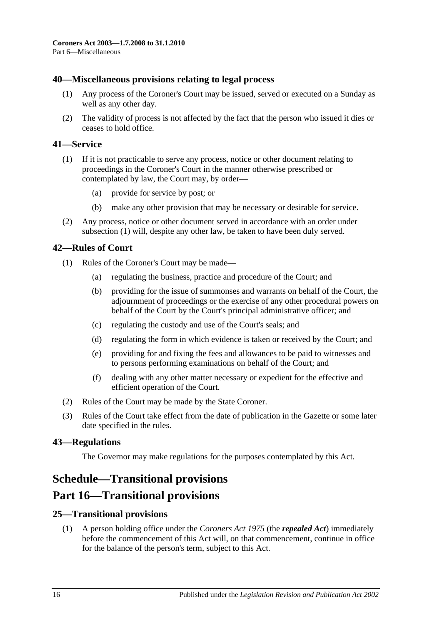### <span id="page-15-0"></span>**40—Miscellaneous provisions relating to legal process**

- (1) Any process of the Coroner's Court may be issued, served or executed on a Sunday as well as any other day.
- (2) The validity of process is not affected by the fact that the person who issued it dies or ceases to hold office.

### <span id="page-15-6"></span><span id="page-15-1"></span>**41—Service**

- (1) If it is not practicable to serve any process, notice or other document relating to proceedings in the Coroner's Court in the manner otherwise prescribed or contemplated by law, the Court may, by order—
	- (a) provide for service by post; or
	- (b) make any other provision that may be necessary or desirable for service.
- (2) Any process, notice or other document served in accordance with an order under [subsection](#page-15-6) (1) will, despite any other law, be taken to have been duly served.

#### <span id="page-15-2"></span>**42—Rules of Court**

- (1) Rules of the Coroner's Court may be made—
	- (a) regulating the business, practice and procedure of the Court; and
	- (b) providing for the issue of summonses and warrants on behalf of the Court, the adjournment of proceedings or the exercise of any other procedural powers on behalf of the Court by the Court's principal administrative officer; and
	- (c) regulating the custody and use of the Court's seals; and
	- (d) regulating the form in which evidence is taken or received by the Court; and
	- (e) providing for and fixing the fees and allowances to be paid to witnesses and to persons performing examinations on behalf of the Court; and
	- (f) dealing with any other matter necessary or expedient for the effective and efficient operation of the Court.
- (2) Rules of the Court may be made by the State Coroner.
- (3) Rules of the Court take effect from the date of publication in the Gazette or some later date specified in the rules.

## <span id="page-15-3"></span>**43—Regulations**

The Governor may make regulations for the purposes contemplated by this Act.

## <span id="page-15-4"></span>**Schedule—Transitional provisions**

## **Part 16—Transitional provisions**

## <span id="page-15-5"></span>**25—Transitional provisions**

(1) A person holding office under the *[Coroners Act](http://www.legislation.sa.gov.au/index.aspx?action=legref&type=act&legtitle=Coroners%20Act%201975) 1975* (the *repealed Act*) immediately before the commencement of this Act will, on that commencement, continue in office for the balance of the person's term, subject to this Act.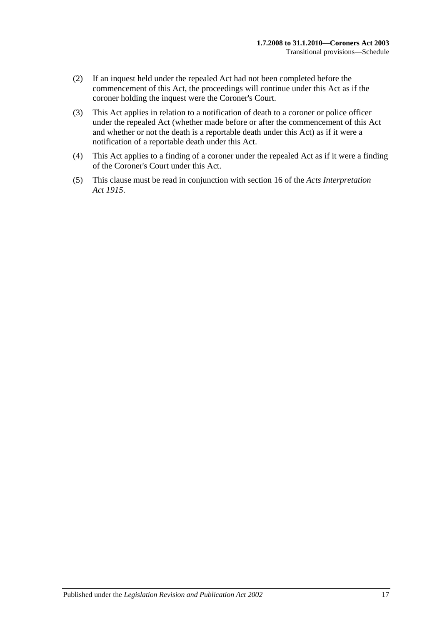- (2) If an inquest held under the repealed Act had not been completed before the commencement of this Act, the proceedings will continue under this Act as if the coroner holding the inquest were the Coroner's Court.
- (3) This Act applies in relation to a notification of death to a coroner or police officer under the repealed Act (whether made before or after the commencement of this Act and whether or not the death is a reportable death under this Act) as if it were a notification of a reportable death under this Act.
- (4) This Act applies to a finding of a coroner under the repealed Act as if it were a finding of the Coroner's Court under this Act.
- (5) This clause must be read in conjunction with section 16 of the *[Acts Interpretation](http://www.legislation.sa.gov.au/index.aspx?action=legref&type=act&legtitle=Acts%20Interpretation%20Act%201915)  Act [1915](http://www.legislation.sa.gov.au/index.aspx?action=legref&type=act&legtitle=Acts%20Interpretation%20Act%201915)*.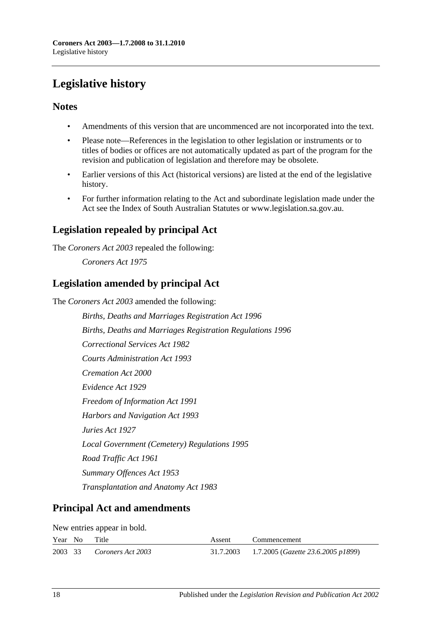# <span id="page-17-0"></span>**Legislative history**

## **Notes**

- Amendments of this version that are uncommenced are not incorporated into the text.
- Please note—References in the legislation to other legislation or instruments or to titles of bodies or offices are not automatically updated as part of the program for the revision and publication of legislation and therefore may be obsolete.
- Earlier versions of this Act (historical versions) are listed at the end of the legislative history.
- For further information relating to the Act and subordinate legislation made under the Act see the Index of South Australian Statutes or www.legislation.sa.gov.au.

## **Legislation repealed by principal Act**

The *Coroners Act 2003* repealed the following:

*Coroners Act 1975*

## **Legislation amended by principal Act**

The *Coroners Act 2003* amended the following:

*Births, Deaths and Marriages Registration Act 1996 Births, Deaths and Marriages Registration Regulations 1996 Correctional Services Act 1982 Courts Administration Act 1993 Cremation Act 2000 Evidence Act 1929 Freedom of Information Act 1991 Harbors and Navigation Act 1993 Juries Act 1927 Local Government (Cemetery) Regulations 1995 Road Traffic Act 1961 Summary Offences Act 1953 Transplantation and Anatomy Act 1983*

## **Principal Act and amendments**

New entries appear in bold.

| Year No Title |                           | Assent | Commencement                                          |
|---------------|---------------------------|--------|-------------------------------------------------------|
|               | 2003 33 Coroners Act 2003 |        | 31.7.2003 1.7.2005 ( <i>Gazette 23.6.2005 p1899</i> ) |